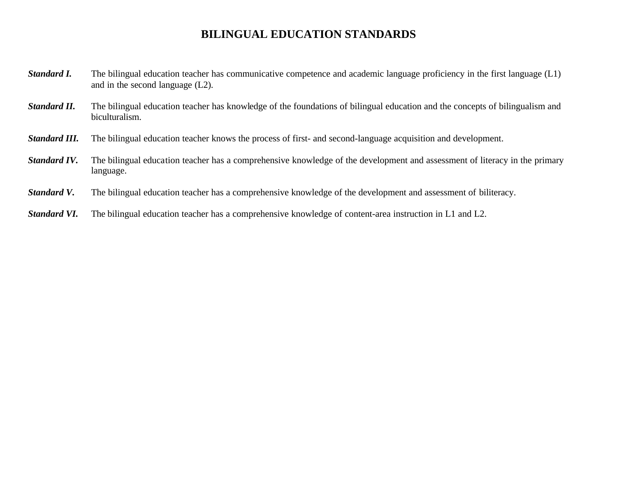## **BILINGUAL EDUCATION STANDARDS**

- *Standard I.* The bilingual education teacher has communicative competence and academic language proficiency in the first language (L1) and in the second language (L2).
- *Standard II.* The bilingual education teacher has knowledge of the foundations of bilingual education and the concepts of bilingualism and biculturalism.
- *Standard III.* The bilingual education teacher knows the process of first- and second-language acquisition and development.
- *Standard IV*. The bilingual education teacher has a comprehensive knowledge of the development and assessment of literacy in the primary language.
- *Standard V.* The bilingual education teacher has a comprehensive knowledge of the development and assessment of biliteracy.
- *Standard VI.* The bilingual education teacher has a comprehensive knowledge of content-area instruction in L1 and L2.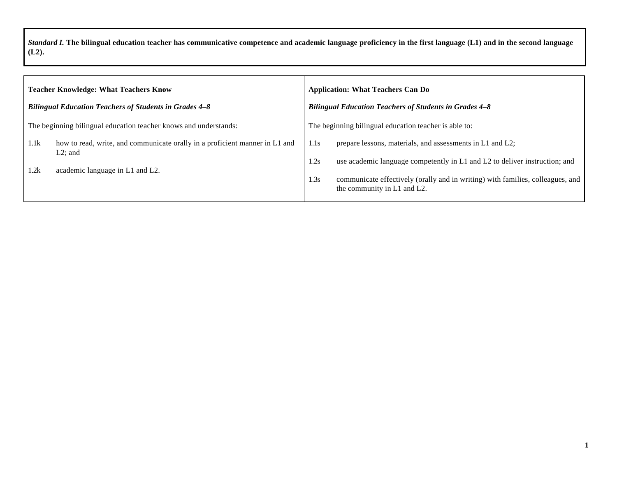*Standard I.* **The bilingual education teacher has communicative competence and academic language proficiency in the first language (L1) and in the second language (L2).**

| <b>Teacher Knowledge: What Teachers Know</b>                                                      | <b>Application: What Teachers Can Do</b>                                                                              |  |  |
|---------------------------------------------------------------------------------------------------|-----------------------------------------------------------------------------------------------------------------------|--|--|
| <b>Bilingual Education Teachers of Students in Grades 4-8</b>                                     | <b>Bilingual Education Teachers of Students in Grades 4-8</b>                                                         |  |  |
| The beginning bilingual education teacher knows and understands:                                  | The beginning bilingual education teacher is able to:                                                                 |  |  |
| 1.1k<br>how to read, write, and communicate orally in a proficient manner in L1 and<br>$L2$ ; and | prepare lessons, materials, and assessments in L1 and L2;<br>1.1s                                                     |  |  |
| 1.2k<br>academic language in L1 and L2.                                                           | use academic language competently in L1 and L2 to deliver instruction; and<br>1.2s                                    |  |  |
|                                                                                                   | communicate effectively (orally and in writing) with families, colleagues, and<br>1.3s<br>the community in L1 and L2. |  |  |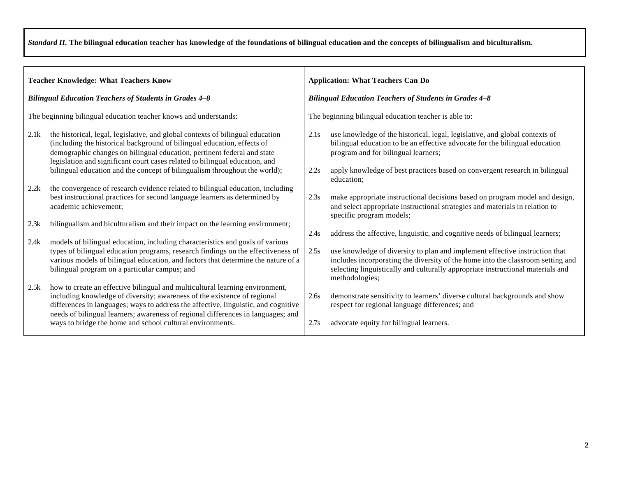*Standard II.* **The bilingual education teacher has knowledge of the foundations of bilingual education and the concepts of bilingualism and biculturalism.**

| <b>Teacher Knowledge: What Teachers Know</b>                  |                                                                                                                                                                                                                                                                                                                                    | <b>Application: What Teachers Can Do</b>                      |                                                                                                                                                                                                                                                                     |  |
|---------------------------------------------------------------|------------------------------------------------------------------------------------------------------------------------------------------------------------------------------------------------------------------------------------------------------------------------------------------------------------------------------------|---------------------------------------------------------------|---------------------------------------------------------------------------------------------------------------------------------------------------------------------------------------------------------------------------------------------------------------------|--|
| <b>Bilingual Education Teachers of Students in Grades 4–8</b> |                                                                                                                                                                                                                                                                                                                                    | <b>Bilingual Education Teachers of Students in Grades 4-8</b> |                                                                                                                                                                                                                                                                     |  |
|                                                               | The beginning bilingual education teacher knows and understands:                                                                                                                                                                                                                                                                   | The beginning bilingual education teacher is able to:         |                                                                                                                                                                                                                                                                     |  |
| 2.1k                                                          | the historical, legal, legislative, and global contexts of bilingual education<br>(including the historical background of bilingual education, effects of<br>demographic changes on bilingual education, pertinent federal and state<br>legislation and significant court cases related to bilingual education, and                | 2.1s                                                          | use knowledge of the historical, legal, legislative, and global contexts of<br>bilingual education to be an effective advocate for the bilingual education<br>program and for bilingual learners;                                                                   |  |
|                                                               | bilingual education and the concept of bilingualism throughout the world);                                                                                                                                                                                                                                                         | 2.2s                                                          | apply knowledge of best practices based on convergent research in bilingual<br>education;                                                                                                                                                                           |  |
| 2.2k                                                          | the convergence of research evidence related to bilingual education, including<br>best instructional practices for second language learners as determined by<br>academic achievement;                                                                                                                                              | 2.3s                                                          | make appropriate instructional decisions based on program model and design,<br>and select appropriate instructional strategies and materials in relation to<br>specific program models;                                                                             |  |
| 2.3k                                                          | bilingualism and biculturalism and their impact on the learning environment;                                                                                                                                                                                                                                                       | 2.4s                                                          | address the affective, linguistic, and cognitive needs of bilingual learners;                                                                                                                                                                                       |  |
| 2.4k                                                          | models of bilingual education, including characteristics and goals of various<br>types of bilingual education programs, research findings on the effectiveness of<br>various models of bilingual education, and factors that determine the nature of a<br>bilingual program on a particular campus; and                            | 2.5s                                                          | use knowledge of diversity to plan and implement effective instruction that<br>includes incorporating the diversity of the home into the classroom setting and<br>selecting linguistically and culturally appropriate instructional materials and<br>methodologies; |  |
| 2.5k                                                          | how to create an effective bilingual and multicultural learning environment,<br>including knowledge of diversity; awareness of the existence of regional<br>differences in languages; ways to address the affective, linguistic, and cognitive<br>needs of bilingual learners; awareness of regional differences in languages; and | 2.6s                                                          | demonstrate sensitivity to learners' diverse cultural backgrounds and show<br>respect for regional language differences; and                                                                                                                                        |  |
|                                                               | ways to bridge the home and school cultural environments.                                                                                                                                                                                                                                                                          | 2.7s                                                          | advocate equity for bilingual learners.                                                                                                                                                                                                                             |  |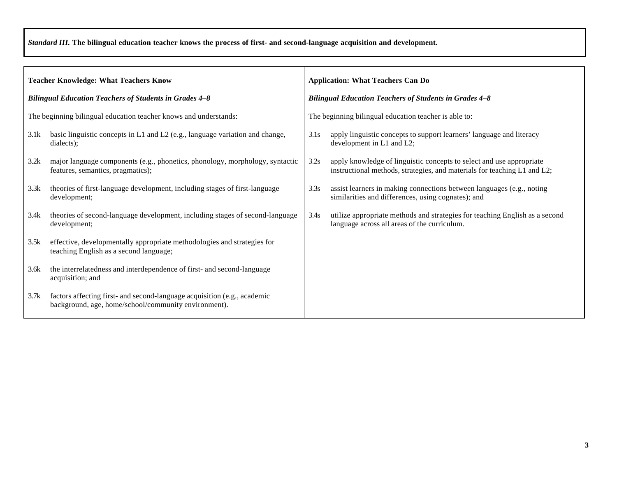*Standard III.* **The bilingual education teacher knows the process of first- and second-language acquisition and development.**

| <b>Teacher Knowledge: What Teachers Know</b>                     |                                                                                                                                  | <b>Application: What Teachers Can Do</b>                      |                                                                                                                                                  |  |
|------------------------------------------------------------------|----------------------------------------------------------------------------------------------------------------------------------|---------------------------------------------------------------|--------------------------------------------------------------------------------------------------------------------------------------------------|--|
| <b>Bilingual Education Teachers of Students in Grades 4-8</b>    |                                                                                                                                  | <b>Bilingual Education Teachers of Students in Grades 4-8</b> |                                                                                                                                                  |  |
| The beginning bilingual education teacher knows and understands: |                                                                                                                                  | The beginning bilingual education teacher is able to:         |                                                                                                                                                  |  |
| 3.1k                                                             | basic linguistic concepts in L1 and L2 (e.g., language variation and change,<br>dialects);                                       | 3.1s                                                          | apply linguistic concepts to support learners' language and literacy<br>development in L1 and L2;                                                |  |
| 3.2k                                                             | major language components (e.g., phonetics, phonology, morphology, syntactic<br>features, semantics, pragmatics);                | 3.2s                                                          | apply knowledge of linguistic concepts to select and use appropriate<br>instructional methods, strategies, and materials for teaching L1 and L2; |  |
| 3.3k                                                             | theories of first-language development, including stages of first-language<br>development;                                       | 3.3s                                                          | assist learners in making connections between languages (e.g., noting<br>similarities and differences, using cognates); and                      |  |
| 3.4k                                                             | theories of second-language development, including stages of second-language<br>development;                                     | 3.4s                                                          | utilize appropriate methods and strategies for teaching English as a second<br>language across all areas of the curriculum.                      |  |
| 3.5k                                                             | effective, developmentally appropriate methodologies and strategies for<br>teaching English as a second language;                |                                                               |                                                                                                                                                  |  |
| 3.6k                                                             | the interrelatedness and interdependence of first- and second-language<br>acquisition; and                                       |                                                               |                                                                                                                                                  |  |
| 3.7k                                                             | factors affecting first- and second-language acquisition (e.g., academic<br>background, age, home/school/community environment). |                                                               |                                                                                                                                                  |  |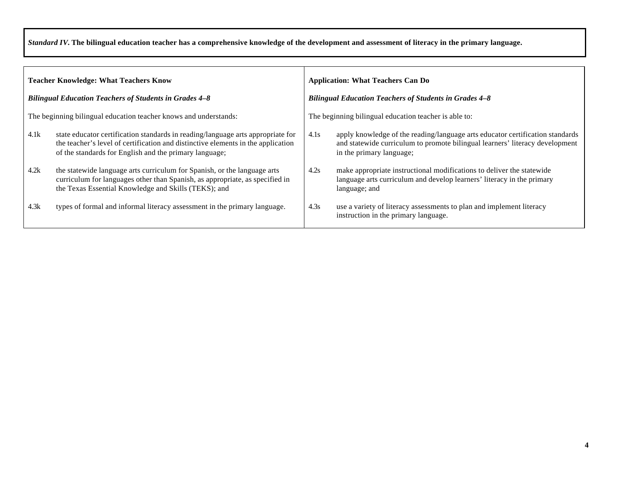*Standard IV.* **The bilingual education teacher has a comprehensive knowledge of the development and assessment of literacy in the primary language.**

| <b>Teacher Knowledge: What Teachers Know</b>                     |                                                                                                                                                                                                                               | <b>Application: What Teachers Can Do</b>                      |                                                                                                                                                                                           |  |
|------------------------------------------------------------------|-------------------------------------------------------------------------------------------------------------------------------------------------------------------------------------------------------------------------------|---------------------------------------------------------------|-------------------------------------------------------------------------------------------------------------------------------------------------------------------------------------------|--|
| <b>Bilingual Education Teachers of Students in Grades 4-8</b>    |                                                                                                                                                                                                                               | <b>Bilingual Education Teachers of Students in Grades 4-8</b> |                                                                                                                                                                                           |  |
| The beginning bilingual education teacher knows and understands: |                                                                                                                                                                                                                               | The beginning bilingual education teacher is able to:         |                                                                                                                                                                                           |  |
| 4.1k                                                             | state educator certification standards in reading/language arts appropriate for<br>the teacher's level of certification and distinctive elements in the application<br>of the standards for English and the primary language; | 4.1s                                                          | apply knowledge of the reading/language arts educator certification standards<br>and statewide curriculum to promote bilingual learners' literacy development<br>in the primary language; |  |
| 4.2k                                                             | the statewide language arts curriculum for Spanish, or the language arts<br>curriculum for languages other than Spanish, as appropriate, as specified in<br>the Texas Essential Knowledge and Skills (TEKS); and              | 4.2s                                                          | make appropriate instructional modifications to deliver the statewide<br>language arts curriculum and develop learners' literacy in the primary<br>language; and                          |  |
| 4.3k                                                             | types of formal and informal literacy assessment in the primary language.                                                                                                                                                     | 4.3s                                                          | use a variety of literacy assessments to plan and implement literacy<br>instruction in the primary language.                                                                              |  |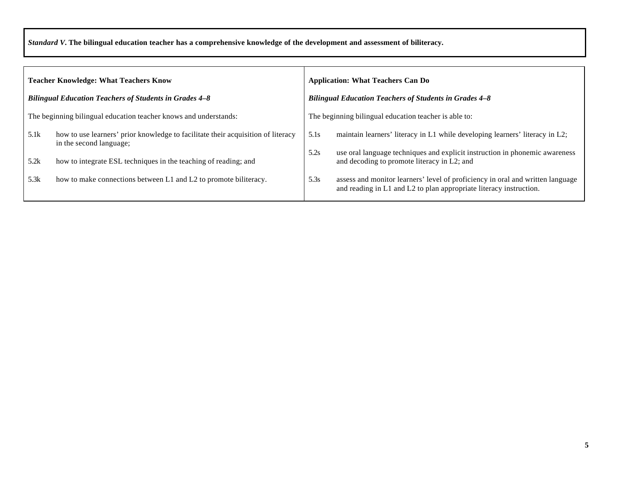*Standard V.* **The bilingual education teacher has a comprehensive knowledge of the development and assessment of biliteracy.**

| <b>Teacher Knowledge: What Teachers Know</b>                  |                                                                                                             | <b>Application: What Teachers Can Do</b>                      |                                                                                                                                                      |  |
|---------------------------------------------------------------|-------------------------------------------------------------------------------------------------------------|---------------------------------------------------------------|------------------------------------------------------------------------------------------------------------------------------------------------------|--|
| <b>Bilingual Education Teachers of Students in Grades 4-8</b> |                                                                                                             | <b>Bilingual Education Teachers of Students in Grades 4-8</b> |                                                                                                                                                      |  |
|                                                               | The beginning bilingual education teacher knows and understands:                                            |                                                               | The beginning bilingual education teacher is able to:                                                                                                |  |
| 5.1k                                                          | how to use learners' prior knowledge to facilitate their acquisition of literacy<br>in the second language; | 5.1s                                                          | maintain learners' literacy in L1 while developing learners' literacy in L2;                                                                         |  |
| 5.2k                                                          | how to integrate ESL techniques in the teaching of reading; and                                             | 5.2s                                                          | use oral language techniques and explicit instruction in phonemic awareness<br>and decoding to promote literacy in L2; and                           |  |
| 5.3k                                                          | how to make connections between L1 and L2 to promote biliteracy.                                            | 5.3s                                                          | assess and monitor learners' level of proficiency in oral and written language<br>and reading in L1 and L2 to plan appropriate literacy instruction. |  |